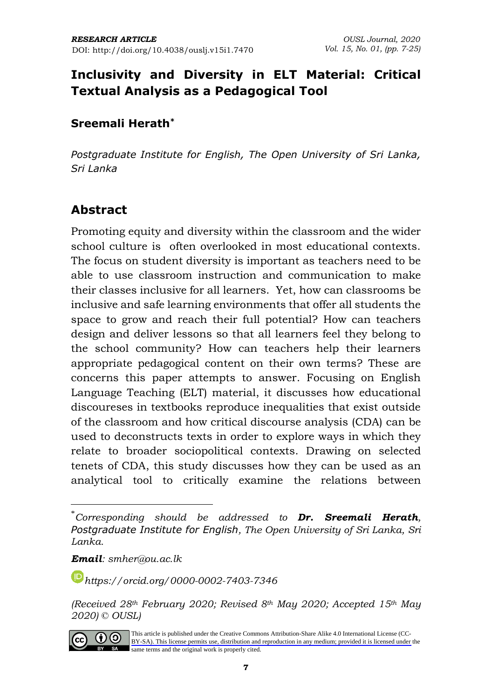# **Inclusivity and Diversity in ELT Material: Critical Textual Analysis as a Pedagogical Tool**

### **Sreemali Herath\***

*Postgraduate Institute for English, The Open University of Sri Lanka, Sri Lanka*

## **Abstract**

Promoting equity and diversity within the classroom and the wider school culture is often overlooked in most educational contexts. The focus on student diversity is important as teachers need to be able to use classroom instruction and communication to make their classes inclusive for all learners. Yet, how can classrooms be inclusive and safe learning environments that offer all students the space to grow and reach their full potential? How can teachers design and deliver lessons so that all learners feel they belong to the school community? How can teachers help their learners appropriate pedagogical content on their own terms? These are concerns this paper attempts to answer. Focusing on English Language Teaching (ELT) material, it discusses how educational discoureses in textbooks reproduce inequalities that exist outside of the classroom and how critical discourse analysis (CDA) can be used to deconstructs texts in order to explore ways in which they relate to broader sociopolitical contexts. Drawing on selected tenets of CDA, this study discusses how they can be used as an analytical tool to critically examine the relations between

*Email: smher@ou.ac.lk*

*[https://orcid.org/0](https://orcid.org/)000-0002-7403-7346*

*<sup>(</sup>Received 28th February 2020; Revised 8th May 2020; Accepted 15th May 2020) © OUSL)*



[This article is published under the Creative Commons Attribution-Share Alike 4.0 International License \(CC-](https://creativecommons.org/licenses/by-sa/4.0/)BY-SA). This license permits use, distribution and reproduction in any medium; provided it is licensed under the same terms and the original work is properly cited.

<sup>\*</sup>*Corresponding should be addressed to Dr. Sreemali Herath, Postgraduate Institute for English, The Open University of Sri Lanka, Sri Lanka.*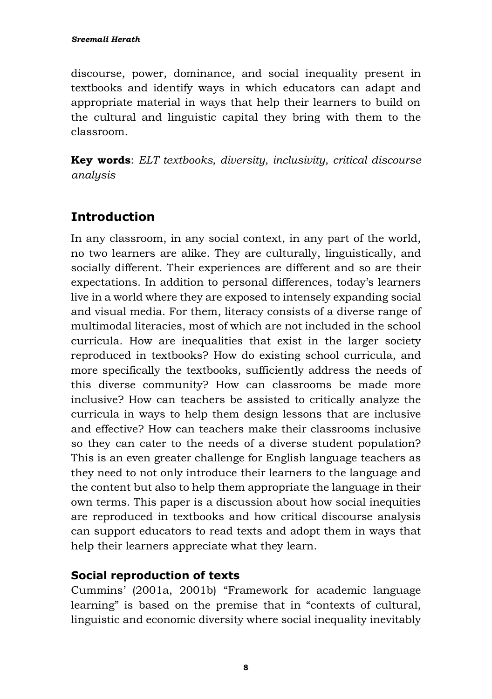discourse, power, dominance, and social inequality present in textbooks and identify ways in which educators can adapt and appropriate material in ways that help their learners to build on the cultural and linguistic capital they bring with them to the classroom.

**Key words**: *ELT textbooks, diversity, inclusivity, critical discourse analysis*

# **Introduction**

In any classroom, in any social context, in any part of the world, no two learners are alike. They are culturally, linguistically, and socially different. Their experiences are different and so are their expectations. In addition to personal differences, today's learners live in a world where they are exposed to intensely expanding social and visual media. For them, literacy consists of a diverse range of multimodal literacies, most of which are not included in the school curricula. How are inequalities that exist in the larger society reproduced in textbooks? How do existing school curricula, and more specifically the textbooks, sufficiently address the needs of this diverse community? How can classrooms be made more inclusive? How can teachers be assisted to critically analyze the curricula in ways to help them design lessons that are inclusive and effective? How can teachers make their classrooms inclusive so they can cater to the needs of a diverse student population? This is an even greater challenge for English language teachers as they need to not only introduce their learners to the language and the content but also to help them appropriate the language in their own terms. This paper is a discussion about how social inequities are reproduced in textbooks and how critical discourse analysis can support educators to read texts and adopt them in ways that help their learners appreciate what they learn.

## **Social reproduction of texts**

Cummins' (2001a, 2001b) "Framework for academic language learning" is based on the premise that in "contexts of cultural, linguistic and economic diversity where social inequality inevitably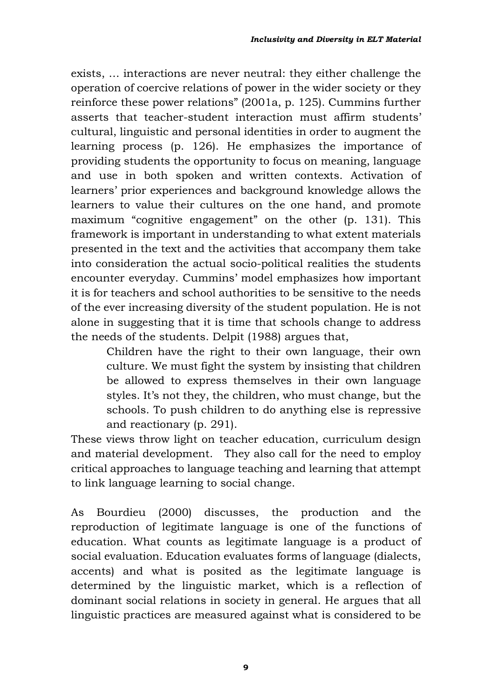exists, … interactions are never neutral: they either challenge the operation of coercive relations of power in the wider society or they reinforce these power relations" (2001a, p. 125). Cummins further asserts that teacher-student interaction must affirm students' cultural, linguistic and personal identities in order to augment the learning process (p. 126). He emphasizes the importance of providing students the opportunity to focus on meaning, language and use in both spoken and written contexts. Activation of learners' prior experiences and background knowledge allows the learners to value their cultures on the one hand, and promote maximum "cognitive engagement" on the other (p. 131). This framework is important in understanding to what extent materials presented in the text and the activities that accompany them take into consideration the actual socio-political realities the students encounter everyday. Cummins' model emphasizes how important it is for teachers and school authorities to be sensitive to the needs of the ever increasing diversity of the student population. He is not alone in suggesting that it is time that schools change to address the needs of the students. Delpit (1988) argues that,

> Children have the right to their own language, their own culture. We must fight the system by insisting that children be allowed to express themselves in their own language styles. It's not they, the children, who must change, but the schools. To push children to do anything else is repressive and reactionary (p. 291).

These views throw light on teacher education, curriculum design and material development. They also call for the need to employ critical approaches to language teaching and learning that attempt to link language learning to social change.

As Bourdieu (2000) discusses, the production and the reproduction of legitimate language is one of the functions of education. What counts as legitimate language is a product of social evaluation. Education evaluates forms of language (dialects, accents) and what is posited as the legitimate language is determined by the linguistic market, which is a reflection of dominant social relations in society in general. He argues that all linguistic practices are measured against what is considered to be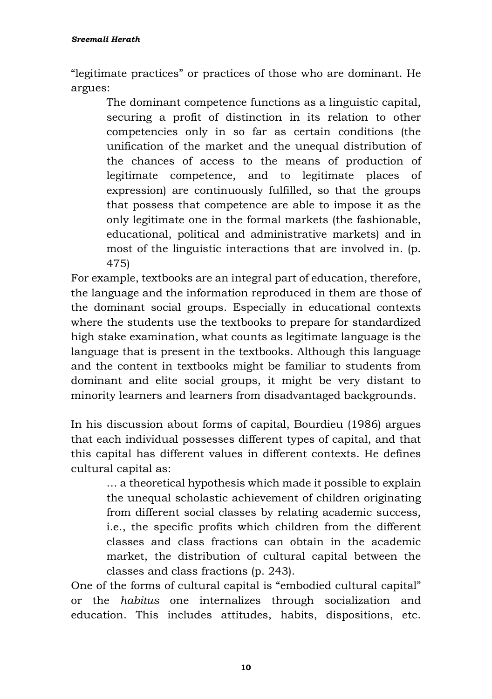"legitimate practices" or practices of those who are dominant. He argues:

> The dominant competence functions as a linguistic capital, securing a profit of distinction in its relation to other competencies only in so far as certain conditions (the unification of the market and the unequal distribution of the chances of access to the means of production of legitimate competence, and to legitimate places of expression) are continuously fulfilled, so that the groups that possess that competence are able to impose it as the only legitimate one in the formal markets (the fashionable, educational, political and administrative markets) and in most of the linguistic interactions that are involved in. (p. 475)

For example, textbooks are an integral part of education, therefore, the language and the information reproduced in them are those of the dominant social groups. Especially in educational contexts where the students use the textbooks to prepare for standardized high stake examination, what counts as legitimate language is the language that is present in the textbooks. Although this language and the content in textbooks might be familiar to students from dominant and elite social groups, it might be very distant to minority learners and learners from disadvantaged backgrounds.

In his discussion about forms of capital, Bourdieu (1986) argues that each individual possesses different types of capital, and that this capital has different values in different contexts. He defines cultural capital as:

… a theoretical hypothesis which made it possible to explain the unequal scholastic achievement of children originating from different social classes by relating academic success, i.e., the specific profits which children from the different classes and class fractions can obtain in the academic market, the distribution of cultural capital between the classes and class fractions (p. 243).

One of the forms of cultural capital is "embodied cultural capital" or the *habitus* one internalizes through socialization and education. This includes attitudes, habits, dispositions, etc.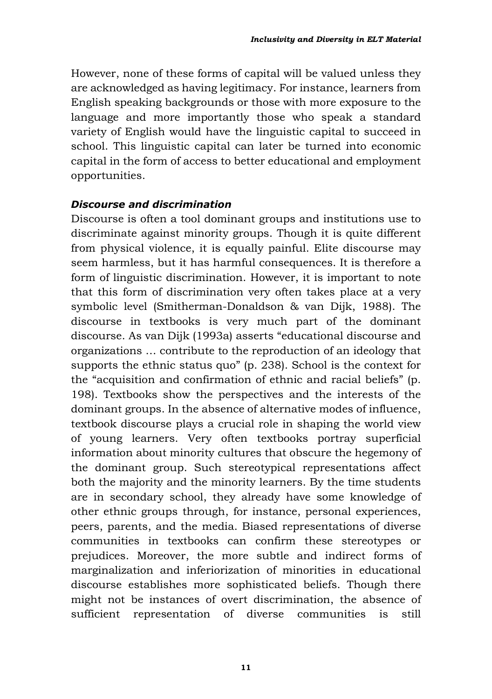However, none of these forms of capital will be valued unless they are acknowledged as having legitimacy. For instance, learners from English speaking backgrounds or those with more exposure to the language and more importantly those who speak a standard variety of English would have the linguistic capital to succeed in school. This linguistic capital can later be turned into economic capital in the form of access to better educational and employment opportunities.

#### *Discourse and discrimination*

Discourse is often a tool dominant groups and institutions use to discriminate against minority groups. Though it is quite different from physical violence, it is equally painful. Elite discourse may seem harmless, but it has harmful consequences. It is therefore a form of linguistic discrimination. However, it is important to note that this form of discrimination very often takes place at a very symbolic level (Smitherman-Donaldson & van Dijk, 1988). The discourse in textbooks is very much part of the dominant discourse. As van Dijk (1993a) asserts "educational discourse and organizations … contribute to the reproduction of an ideology that supports the ethnic status quo" (p. 238). School is the context for the "acquisition and confirmation of ethnic and racial beliefs" (p. 198). Textbooks show the perspectives and the interests of the dominant groups. In the absence of alternative modes of influence, textbook discourse plays a crucial role in shaping the world view of young learners. Very often textbooks portray superficial information about minority cultures that obscure the hegemony of the dominant group. Such stereotypical representations affect both the majority and the minority learners. By the time students are in secondary school, they already have some knowledge of other ethnic groups through, for instance, personal experiences, peers, parents, and the media. Biased representations of diverse communities in textbooks can confirm these stereotypes or prejudices. Moreover, the more subtle and indirect forms of marginalization and inferiorization of minorities in educational discourse establishes more sophisticated beliefs. Though there might not be instances of overt discrimination, the absence of sufficient representation of diverse communities is still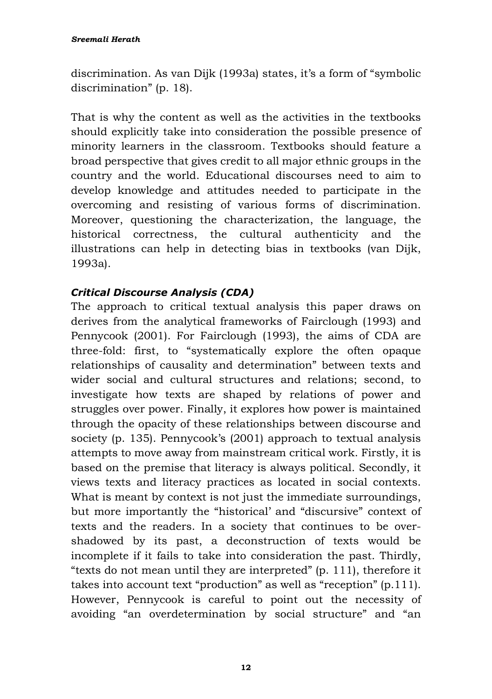discrimination. As van Dijk (1993a) states, it's a form of "symbolic discrimination" (p. 18).

That is why the content as well as the activities in the textbooks should explicitly take into consideration the possible presence of minority learners in the classroom. Textbooks should feature a broad perspective that gives credit to all major ethnic groups in the country and the world. Educational discourses need to aim to develop knowledge and attitudes needed to participate in the overcoming and resisting of various forms of discrimination. Moreover, questioning the characterization, the language, the historical correctness, the cultural authenticity and the illustrations can help in detecting bias in textbooks (van Dijk, 1993a).

#### *Critical Discourse Analysis (CDA)*

The approach to critical textual analysis this paper draws on derives from the analytical frameworks of Fairclough (1993) and Pennycook (2001). For Fairclough (1993), the aims of CDA are three-fold: first, to "systematically explore the often opaque relationships of causality and determination" between texts and wider social and cultural structures and relations; second, to investigate how texts are shaped by relations of power and struggles over power. Finally, it explores how power is maintained through the opacity of these relationships between discourse and society (p. 135). Pennycook's (2001) approach to textual analysis attempts to move away from mainstream critical work. Firstly, it is based on the premise that literacy is always political. Secondly, it views texts and literacy practices as located in social contexts. What is meant by context is not just the immediate surroundings, but more importantly the "historical' and "discursive" context of texts and the readers. In a society that continues to be overshadowed by its past, a deconstruction of texts would be incomplete if it fails to take into consideration the past. Thirdly, "texts do not mean until they are interpreted" (p. 111), therefore it takes into account text "production" as well as "reception" (p.111). However, Pennycook is careful to point out the necessity of avoiding "an overdetermination by social structure" and "an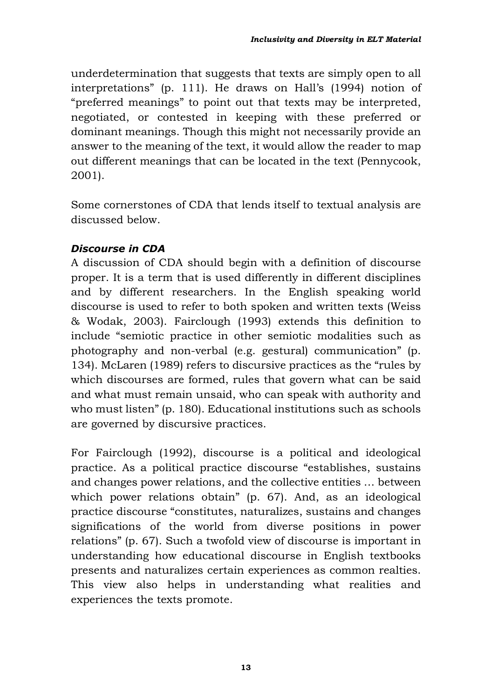underdetermination that suggests that texts are simply open to all interpretations" (p. 111). He draws on Hall's (1994) notion of "preferred meanings" to point out that texts may be interpreted, negotiated, or contested in keeping with these preferred or dominant meanings. Though this might not necessarily provide an answer to the meaning of the text, it would allow the reader to map out different meanings that can be located in the text (Pennycook, 2001).

Some cornerstones of CDA that lends itself to textual analysis are discussed below.

#### *Discourse in CDA*

A discussion of CDA should begin with a definition of discourse proper. It is a term that is used differently in different disciplines and by different researchers. In the English speaking world discourse is used to refer to both spoken and written texts (Weiss & Wodak, 2003). Fairclough (1993) extends this definition to include "semiotic practice in other semiotic modalities such as photography and non-verbal (e.g. gestural) communication" (p. 134). McLaren (1989) refers to discursive practices as the "rules by which discourses are formed, rules that govern what can be said and what must remain unsaid, who can speak with authority and who must listen" (p. 180). Educational institutions such as schools are governed by discursive practices.

For Fairclough (1992), discourse is a political and ideological practice. As a political practice discourse "establishes, sustains and changes power relations, and the collective entities … between which power relations obtain" (p. 67). And, as an ideological practice discourse "constitutes, naturalizes, sustains and changes significations of the world from diverse positions in power relations" (p. 67). Such a twofold view of discourse is important in understanding how educational discourse in English textbooks presents and naturalizes certain experiences as common realties. This view also helps in understanding what realities and experiences the texts promote.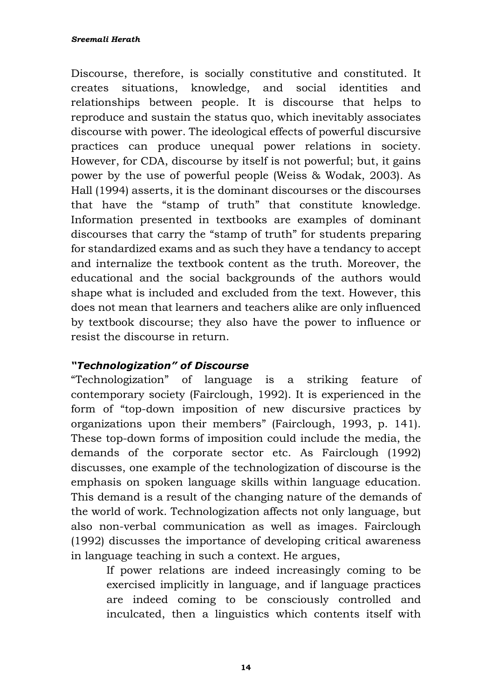Discourse, therefore, is socially constitutive and constituted. It creates situations, knowledge, and social identities and relationships between people. It is discourse that helps to reproduce and sustain the status quo, which inevitably associates discourse with power. The ideological effects of powerful discursive practices can produce unequal power relations in society. However, for CDA, discourse by itself is not powerful; but, it gains power by the use of powerful people (Weiss & Wodak, 2003). As Hall (1994) asserts, it is the dominant discourses or the discourses that have the "stamp of truth" that constitute knowledge. Information presented in textbooks are examples of dominant discourses that carry the "stamp of truth" for students preparing for standardized exams and as such they have a tendancy to accept and internalize the textbook content as the truth. Moreover, the educational and the social backgrounds of the authors would shape what is included and excluded from the text. However, this does not mean that learners and teachers alike are only influenced by textbook discourse; they also have the power to influence or resist the discourse in return.

#### *"Technologization" of Discourse*

"Technologization" of language is a striking feature of contemporary society (Fairclough, 1992). It is experienced in the form of "top-down imposition of new discursive practices by organizations upon their members" (Fairclough, 1993, p. 141). These top-down forms of imposition could include the media, the demands of the corporate sector etc. As Fairclough (1992) discusses, one example of the technologization of discourse is the emphasis on spoken language skills within language education. This demand is a result of the changing nature of the demands of the world of work. Technologization affects not only language, but also non-verbal communication as well as images. Fairclough (1992) discusses the importance of developing critical awareness in language teaching in such a context. He argues,

If power relations are indeed increasingly coming to be exercised implicitly in language, and if language practices are indeed coming to be consciously controlled and inculcated, then a linguistics which contents itself with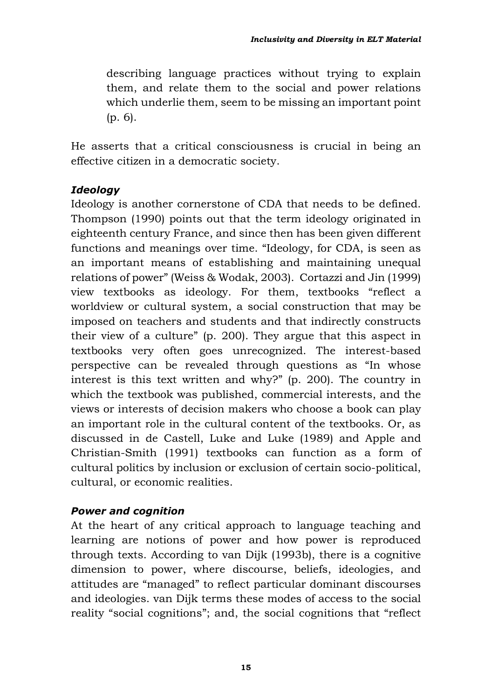describing language practices without trying to explain them, and relate them to the social and power relations which underlie them, seem to be missing an important point (p. 6).

He asserts that a critical consciousness is crucial in being an effective citizen in a democratic society.

#### *Ideology*

Ideology is another cornerstone of CDA that needs to be defined. Thompson (1990) points out that the term ideology originated in eighteenth century France, and since then has been given different functions and meanings over time. "Ideology, for CDA, is seen as an important means of establishing and maintaining unequal relations of power" (Weiss & Wodak, 2003). Cortazzi and Jin (1999) view textbooks as ideology. For them, textbooks "reflect a worldview or cultural system, a social construction that may be imposed on teachers and students and that indirectly constructs their view of a culture" (p. 200). They argue that this aspect in textbooks very often goes unrecognized. The interest-based perspective can be revealed through questions as "In whose interest is this text written and why?" (p. 200). The country in which the textbook was published, commercial interests, and the views or interests of decision makers who choose a book can play an important role in the cultural content of the textbooks. Or, as discussed in de Castell, Luke and Luke (1989) and Apple and Christian-Smith (1991) textbooks can function as a form of cultural politics by inclusion or exclusion of certain socio-political, cultural, or economic realities.

#### *Power and cognition*

At the heart of any critical approach to language teaching and learning are notions of power and how power is reproduced through texts. According to van Dijk (1993b), there is a cognitive dimension to power, where discourse, beliefs, ideologies, and attitudes are "managed" to reflect particular dominant discourses and ideologies. van Dijk terms these modes of access to the social reality "social cognitions"; and, the social cognitions that "reflect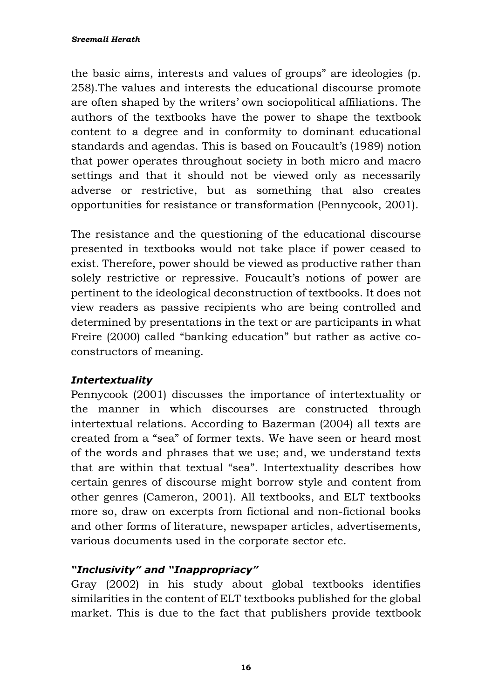the basic aims, interests and values of groups" are ideologies (p. 258).The values and interests the educational discourse promote are often shaped by the writers' own sociopolitical affiliations. The authors of the textbooks have the power to shape the textbook content to a degree and in conformity to dominant educational standards and agendas. This is based on Foucault's (1989) notion that power operates throughout society in both micro and macro settings and that it should not be viewed only as necessarily adverse or restrictive, but as something that also creates opportunities for resistance or transformation (Pennycook, 2001).

The resistance and the questioning of the educational discourse presented in textbooks would not take place if power ceased to exist. Therefore, power should be viewed as productive rather than solely restrictive or repressive. Foucault's notions of power are pertinent to the ideological deconstruction of textbooks. It does not view readers as passive recipients who are being controlled and determined by presentations in the text or are participants in what Freire (2000) called "banking education" but rather as active coconstructors of meaning.

#### *Intertextuality*

Pennycook (2001) discusses the importance of intertextuality or the manner in which discourses are constructed through intertextual relations. According to Bazerman (2004) all texts are created from a "sea" of former texts. We have seen or heard most of the words and phrases that we use; and, we understand texts that are within that textual "sea". Intertextuality describes how certain genres of discourse might borrow style and content from other genres (Cameron, 2001). All textbooks, and ELT textbooks more so, draw on excerpts from fictional and non-fictional books and other forms of literature, newspaper articles, advertisements, various documents used in the corporate sector etc.

#### *"Inclusivity" and "Inappropriacy"*

Gray (2002) in his study about global textbooks identifies similarities in the content of ELT textbooks published for the global market. This is due to the fact that publishers provide textbook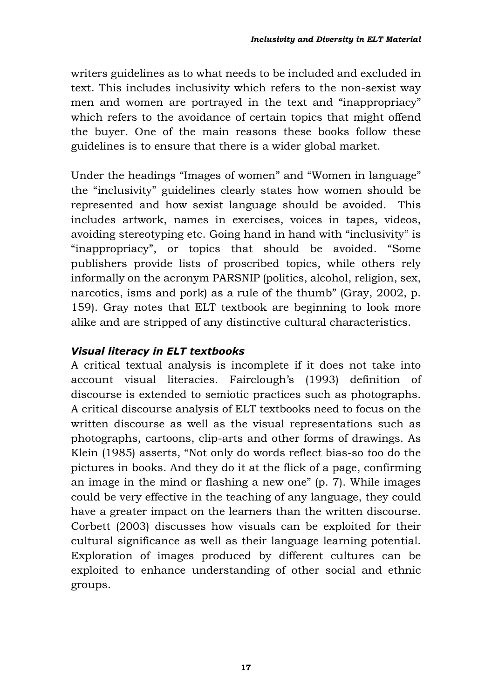writers guidelines as to what needs to be included and excluded in text. This includes inclusivity which refers to the non-sexist way men and women are portrayed in the text and "inappropriacy" which refers to the avoidance of certain topics that might offend the buyer. One of the main reasons these books follow these guidelines is to ensure that there is a wider global market.

Under the headings "Images of women" and "Women in language" the "inclusivity" guidelines clearly states how women should be represented and how sexist language should be avoided. This includes artwork, names in exercises, voices in tapes, videos, avoiding stereotyping etc. Going hand in hand with "inclusivity" is "inappropriacy", or topics that should be avoided. "Some publishers provide lists of proscribed topics, while others rely informally on the acronym PARSNIP (politics, alcohol, religion, sex, narcotics, isms and pork) as a rule of the thumb" (Gray, 2002, p. 159). Gray notes that ELT textbook are beginning to look more alike and are stripped of any distinctive cultural characteristics.

#### *Visual literacy in ELT textbooks*

A critical textual analysis is incomplete if it does not take into account visual literacies. Fairclough's (1993) definition of discourse is extended to semiotic practices such as photographs. A critical discourse analysis of ELT textbooks need to focus on the written discourse as well as the visual representations such as photographs, cartoons, clip-arts and other forms of drawings. As Klein (1985) asserts, "Not only do words reflect bias-so too do the pictures in books. And they do it at the flick of a page, confirming an image in the mind or flashing a new one" (p. 7). While images could be very effective in the teaching of any language, they could have a greater impact on the learners than the written discourse. Corbett (2003) discusses how visuals can be exploited for their cultural significance as well as their language learning potential. Exploration of images produced by different cultures can be exploited to enhance understanding of other social and ethnic groups.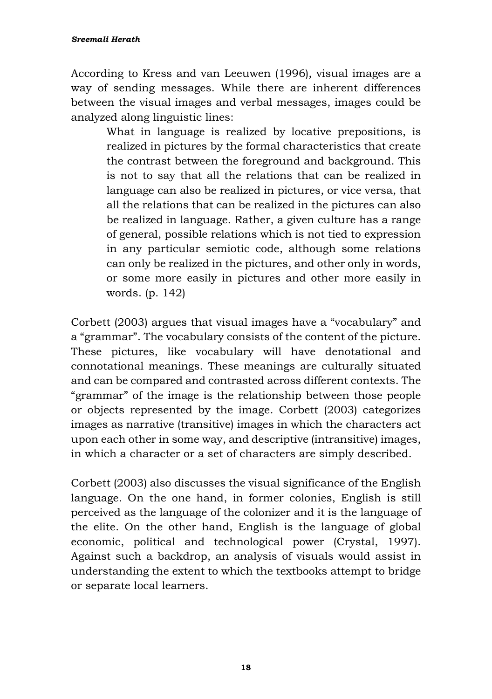According to Kress and van Leeuwen (1996), visual images are a way of sending messages. While there are inherent differences between the visual images and verbal messages, images could be analyzed along linguistic lines:

> What in language is realized by locative prepositions, is realized in pictures by the formal characteristics that create the contrast between the foreground and background. This is not to say that all the relations that can be realized in language can also be realized in pictures, or vice versa, that all the relations that can be realized in the pictures can also be realized in language. Rather, a given culture has a range of general, possible relations which is not tied to expression in any particular semiotic code, although some relations can only be realized in the pictures, and other only in words, or some more easily in pictures and other more easily in words. (p. 142)

Corbett (2003) argues that visual images have a "vocabulary" and a "grammar". The vocabulary consists of the content of the picture. These pictures, like vocabulary will have denotational and connotational meanings. These meanings are culturally situated and can be compared and contrasted across different contexts. The "grammar" of the image is the relationship between those people or objects represented by the image. Corbett (2003) categorizes images as narrative (transitive) images in which the characters act upon each other in some way, and descriptive (intransitive) images, in which a character or a set of characters are simply described.

Corbett (2003) also discusses the visual significance of the English language. On the one hand, in former colonies, English is still perceived as the language of the colonizer and it is the language of the elite. On the other hand, English is the language of global economic, political and technological power (Crystal, 1997). Against such a backdrop, an analysis of visuals would assist in understanding the extent to which the textbooks attempt to bridge or separate local learners.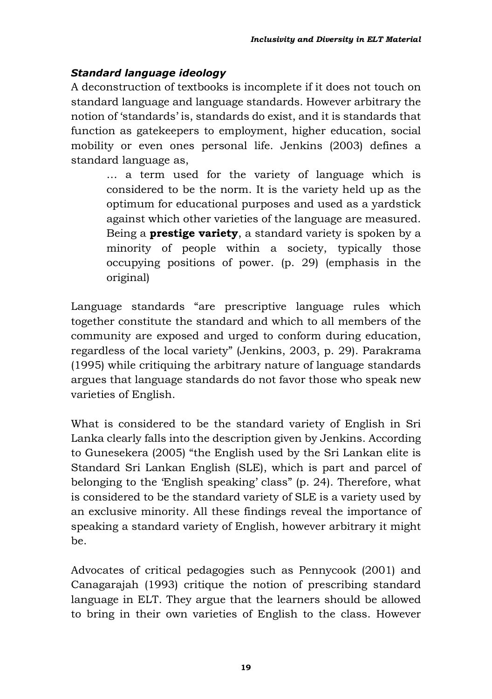### *Standard language ideology*

A deconstruction of textbooks is incomplete if it does not touch on standard language and language standards. However arbitrary the notion of 'standards' is, standards do exist, and it is standards that function as gatekeepers to employment, higher education, social mobility or even ones personal life. Jenkins (2003) defines a standard language as,

> … a term used for the variety of language which is considered to be the norm. It is the variety held up as the optimum for educational purposes and used as a yardstick against which other varieties of the language are measured. Being a **prestige variety**, a standard variety is spoken by a minority of people within a society, typically those occupying positions of power. (p. 29) (emphasis in the original)

Language standards "are prescriptive language rules which together constitute the standard and which to all members of the community are exposed and urged to conform during education, regardless of the local variety" (Jenkins, 2003, p. 29). Parakrama (1995) while critiquing the arbitrary nature of language standards argues that language standards do not favor those who speak new varieties of English.

What is considered to be the standard variety of English in Sri Lanka clearly falls into the description given by Jenkins. According to Gunesekera (2005) "the English used by the Sri Lankan elite is Standard Sri Lankan English (SLE), which is part and parcel of belonging to the 'English speaking' class" (p. 24). Therefore, what is considered to be the standard variety of SLE is a variety used by an exclusive minority. All these findings reveal the importance of speaking a standard variety of English, however arbitrary it might be.

Advocates of critical pedagogies such as Pennycook (2001) and Canagarajah (1993) critique the notion of prescribing standard language in ELT. They argue that the learners should be allowed to bring in their own varieties of English to the class. However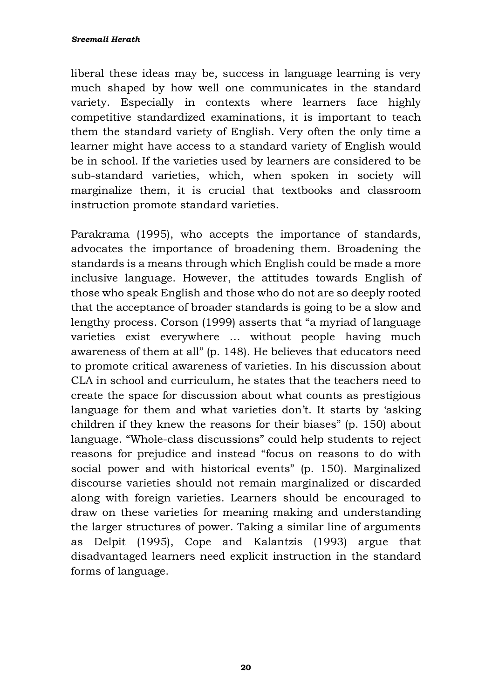#### *Sreemali Herath*

liberal these ideas may be, success in language learning is very much shaped by how well one communicates in the standard variety. Especially in contexts where learners face highly competitive standardized examinations, it is important to teach them the standard variety of English. Very often the only time a learner might have access to a standard variety of English would be in school. If the varieties used by learners are considered to be sub-standard varieties, which, when spoken in society will marginalize them, it is crucial that textbooks and classroom instruction promote standard varieties.

Parakrama (1995), who accepts the importance of standards, advocates the importance of broadening them. Broadening the standards is a means through which English could be made a more inclusive language. However, the attitudes towards English of those who speak English and those who do not are so deeply rooted that the acceptance of broader standards is going to be a slow and lengthy process. Corson (1999) asserts that "a myriad of language varieties exist everywhere … without people having much awareness of them at all" (p. 148). He believes that educators need to promote critical awareness of varieties. In his discussion about CLA in school and curriculum, he states that the teachers need to create the space for discussion about what counts as prestigious language for them and what varieties don't. It starts by 'asking children if they knew the reasons for their biases" (p. 150) about language. "Whole-class discussions" could help students to reject reasons for prejudice and instead "focus on reasons to do with social power and with historical events" (p. 150). Marginalized discourse varieties should not remain marginalized or discarded along with foreign varieties. Learners should be encouraged to draw on these varieties for meaning making and understanding the larger structures of power. Taking a similar line of arguments as Delpit (1995), Cope and Kalantzis (1993) argue that disadvantaged learners need explicit instruction in the standard forms of language.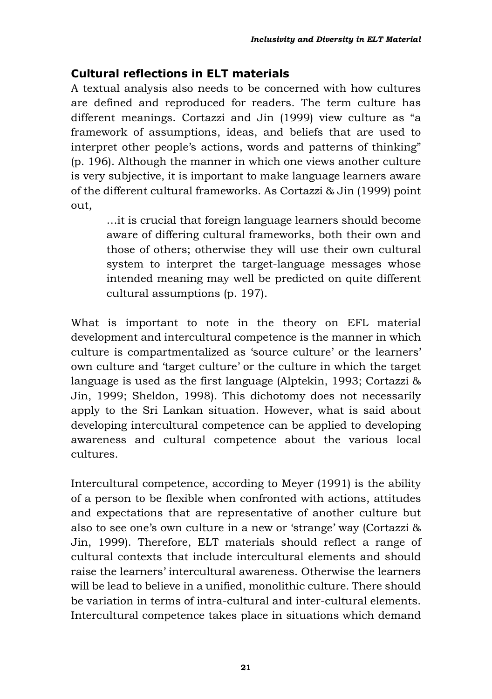## **Cultural reflections in ELT materials**

A textual analysis also needs to be concerned with how cultures are defined and reproduced for readers. The term culture has different meanings. Cortazzi and Jin (1999) view culture as "a framework of assumptions, ideas, and beliefs that are used to interpret other people's actions, words and patterns of thinking" (p. 196). Although the manner in which one views another culture is very subjective, it is important to make language learners aware of the different cultural frameworks. As Cortazzi & Jin (1999) point out,

> …it is crucial that foreign language learners should become aware of differing cultural frameworks, both their own and those of others; otherwise they will use their own cultural system to interpret the target-language messages whose intended meaning may well be predicted on quite different cultural assumptions (p. 197).

What is important to note in the theory on EFL material development and intercultural competence is the manner in which culture is compartmentalized as 'source culture' or the learners' own culture and 'target culture' or the culture in which the target language is used as the first language (Alptekin, 1993; Cortazzi & Jin, 1999; Sheldon, 1998). This dichotomy does not necessarily apply to the Sri Lankan situation. However, what is said about developing intercultural competence can be applied to developing awareness and cultural competence about the various local cultures.

Intercultural competence, according to Meyer (1991) is the ability of a person to be flexible when confronted with actions, attitudes and expectations that are representative of another culture but also to see one's own culture in a new or 'strange' way (Cortazzi & Jin, 1999). Therefore, ELT materials should reflect a range of cultural contexts that include intercultural elements and should raise the learners' intercultural awareness. Otherwise the learners will be lead to believe in a unified, monolithic culture. There should be variation in terms of intra-cultural and inter-cultural elements. Intercultural competence takes place in situations which demand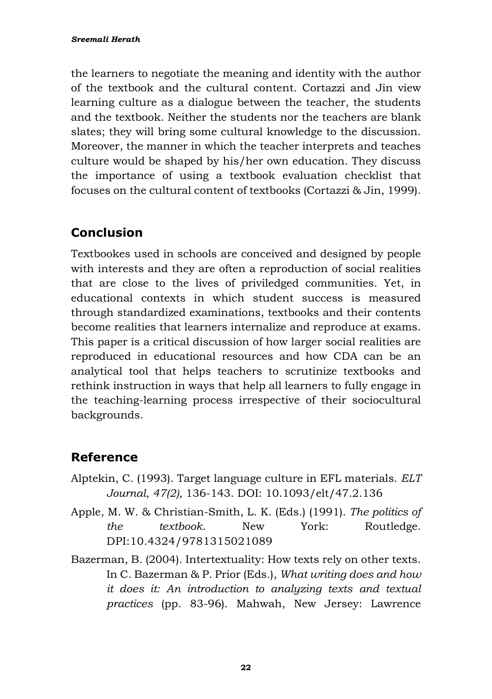the learners to negotiate the meaning and identity with the author of the textbook and the cultural content. Cortazzi and Jin view learning culture as a dialogue between the teacher, the students and the textbook. Neither the students nor the teachers are blank slates; they will bring some cultural knowledge to the discussion. Moreover, the manner in which the teacher interprets and teaches culture would be shaped by his/her own education. They discuss the importance of using a textbook evaluation checklist that focuses on the cultural content of textbooks (Cortazzi & Jin, 1999).

# **Conclusion**

Textbookes used in schools are conceived and designed by people with interests and they are often a reproduction of social realities that are close to the lives of priviledged communities. Yet, in educational contexts in which student success is measured through standardized examinations, textbooks and their contents become realities that learners internalize and reproduce at exams. This paper is a critical discussion of how larger social realities are reproduced in educational resources and how CDA can be an analytical tool that helps teachers to scrutinize textbooks and rethink instruction in ways that help all learners to fully engage in the teaching-learning process irrespective of their sociocultural backgrounds.

## **Reference**

- Alptekin, C. (1993). Target language culture in EFL materials. *ELT Journal*, *47(2),* 136-143. DOI: 10.1093/elt/47.2.136
- Apple, M. W. & Christian-Smith, L. K. (Eds.) (1991). *The politics of the textbook*. New York: Routledge. [DPI:10.4324/9781315021089](https://doi.org/10.4324/9781315021089)
- Bazerman, B. (2004). Intertextuality: How texts rely on other texts. In C. Bazerman & P. Prior (Eds.), *What writing does and how it does it: An introduction to analyzing texts and textual practices* (pp. 83-96). Mahwah, New Jersey: Lawrence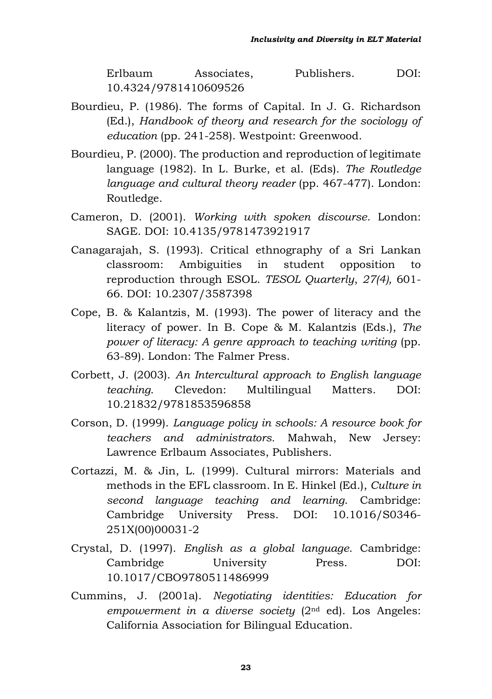Erlbaum Associates, Publishers. DOI: 10.4324/9781410609526

- Bourdieu, P. (1986). The forms of Capital. In J. G. Richardson (Ed.), *Handbook of theory and research for the sociology of education* (pp. 241-258). Westpoint: Greenwood.
- Bourdieu, P. (2000). The production and reproduction of legitimate language (1982). In L. Burke, et al. (Eds). *The Routledge language and cultural theory reader* (pp. 467-477). London: Routledge.
- Cameron, D. (2001). *Working with spoken discourse*. London: SAGE. DOI: 10.4135/9781473921917
- Canagarajah, S. (1993). Critical ethnography of a Sri Lankan classroom: Ambiguities in student opposition to reproduction through ESOL. *TESOL Quarterly*, *27(4),* 601- 66. DOI: 10.2307/3587398
- Cope, B. & Kalantzis, M. (1993). The power of literacy and the literacy of power. In B. Cope & M. Kalantzis (Eds.), *The power of literacy: A genre approach to teaching writing* (pp. 63-89). London: The Falmer Press.
- Corbett, J. (2003). *An Intercultural approach to English language teaching*. Clevedon: Multilingual Matters. DOI: 10.21832/9781853596858
- Corson, D. (1999). *Language policy in schools: A resource book for teachers and administrators.* Mahwah, New Jersey: Lawrence Erlbaum Associates, Publishers.
- Cortazzi, M. & Jin, L. (1999). Cultural mirrors: Materials and methods in the EFL classroom. In E. Hinkel (Ed.), *Culture in second language teaching and learning*. Cambridge: Cambridge University Press. DOI: [10.1016/S0346-](https://www.researchgate.net/deref/http%3A%2F%2Fdx.doi.org%2F10.1016%2FS0346-251X(00)00031-2) [251X\(00\)00031-2](https://www.researchgate.net/deref/http%3A%2F%2Fdx.doi.org%2F10.1016%2FS0346-251X(00)00031-2)
- Crystal, D. (1997). *English as a global language*. Cambridge: Cambridge University Press. DOI: [10.1017/CBO9780511486999](https://www.researchgate.net/deref/http%3A%2F%2Fdx.doi.org%2F10.1017%2FCBO9780511486999)
- Cummins, J. (2001a). *Negotiating identities: Education for empowerment in a diverse society* (2nd ed). Los Angeles: California Association for Bilingual Education.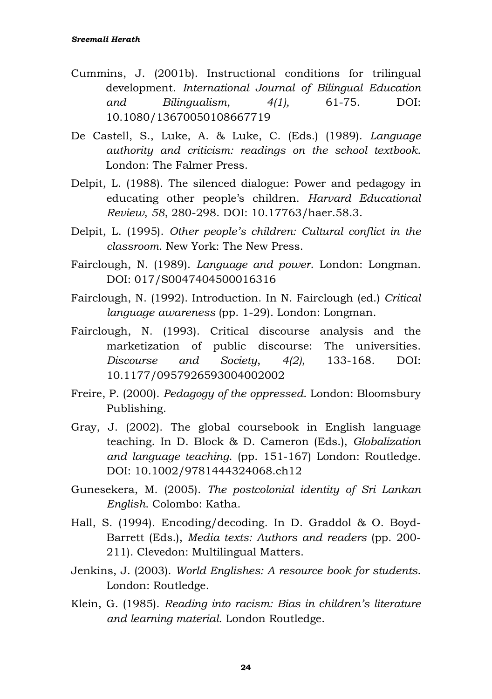- Cummins, J. (2001b). Instructional conditions for trilingual development. *International Journal of Bilingual Education and Bilingualism*, *4(1),* 61-75. [DOI:](https://doi.org/10.1080/13670050108667719) [10.1080/13670050108667719](https://doi.org/10.1080/13670050108667719)
- De Castell, S., Luke, A. & Luke, C. (Eds.) (1989). *Language authority and criticism: readings on the school textbook*. London: The Falmer Press.
- Delpit, L. (1988). The silenced dialogue: Power and pedagogy in educating other people's children. *Harvard Educational Review*, *58*, 280-298. DOI: 10.17763/haer.58.3.
- Delpit, L. (1995). *Other people's children: Cultural conflict in the classroom*. New York: The New Press.
- Fairclough, N. (1989). *Language and power*. London: Longman. DOI: 017/S0047404500016316
- Fairclough, N. (1992). Introduction. In N. Fairclough (ed.) *Critical language awareness* (pp. 1-29). London: Longman.
- Fairclough, N. (1993). Critical discourse analysis and the marketization of public discourse: The universities. *Discourse and Society*, *4(2)*, 133-168. DOI: 10.1177/0957926593004002002
- Freire, P. (2000). *Pedagogy of the oppressed*. London: Bloomsbury Publishing.
- Gray, J. (2002). The global coursebook in English language teaching. In D. Block & D. Cameron (Eds.), *Globalization and language teaching*. (pp. 151-167) London: Routledge. DOI: 10.1002/9781444324068.ch12
- Gunesekera, M. (2005). *The postcolonial identity of Sri Lankan English*. Colombo: Katha.
- Hall, S. (1994). Encoding/decoding. In D. Graddol & O. Boyd-Barrett (Eds.), *Media texts: Authors and readers* (pp. 200- 211). Clevedon: Multilingual Matters.
- Jenkins, J. (2003). *World Englishes: A resource book for students.* London: Routledge.
- Klein, G. (1985). *Reading into racism: Bias in children's literature and learning material*. London Routledge.